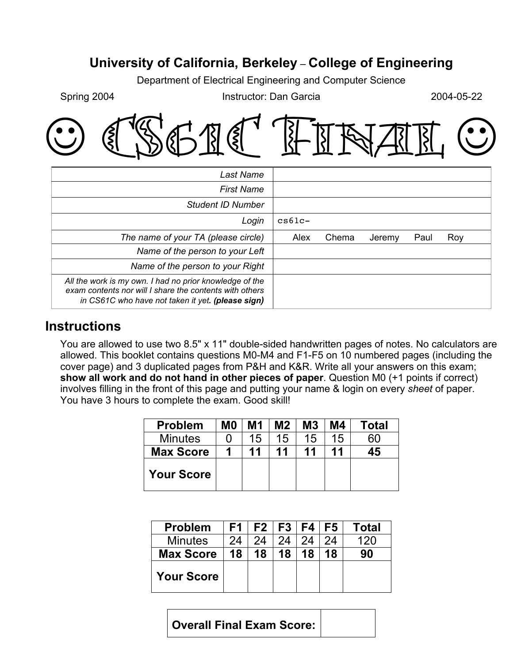# **University of California, Berkeley** – **College of Engineering**

Department of Electrical Engineering and Computer Science

Spring 2004 **Instructor:** Dan Garcia 2004-05-22

|  |  | OCSGIC HINAII O |  |
|--|--|-----------------|--|
|--|--|-----------------|--|

| Last Name                                                                                                                                                               |           |       |        |      |     |
|-------------------------------------------------------------------------------------------------------------------------------------------------------------------------|-----------|-------|--------|------|-----|
| <b>First Name</b>                                                                                                                                                       |           |       |        |      |     |
| Student ID Number                                                                                                                                                       |           |       |        |      |     |
| Login                                                                                                                                                                   | $cs61c -$ |       |        |      |     |
| The name of your TA (please circle)                                                                                                                                     | Alex      | Chema | Jeremy | Paul | Roy |
| Name of the person to your Left                                                                                                                                         |           |       |        |      |     |
| Name of the person to your Right                                                                                                                                        |           |       |        |      |     |
| All the work is my own. I had no prior knowledge of the<br>exam contents nor will I share the contents with others<br>in CS61C who have not taken it yet. (please sign) |           |       |        |      |     |

#### **Instructions**

You are allowed to use two 8.5" x 11" double-sided handwritten pages of notes. No calculators are allowed. This booklet contains questions M0-M4 and F1-F5 on 10 numbered pages (including the cover page) and 3 duplicated pages from P&H and K&R. Write all your answers on this exam; **show all work and do not hand in other pieces of paper**. Question M0 (+1 points if correct) involves filling in the front of this page and putting your name & login on every *sheet* of paper. You have 3 hours to complete the exam. Good skill!

| <b>Problem</b>    | M <sub>0</sub> | M1 | M2 | M <sub>3</sub> | M4 | Total |
|-------------------|----------------|----|----|----------------|----|-------|
| <b>Minutes</b>    |                | 15 | 15 | 15             | 15 | 60    |
| <b>Max Score</b>  | 1              | 11 | 11 | 11             | 11 | 45    |
| <b>Your Score</b> |                |    |    |                |    |       |

| <b>Problem</b>    | F1 |    | F2   F3   F4   F5 |    |    | <b>Total</b> |
|-------------------|----|----|-------------------|----|----|--------------|
| <b>Minutes</b>    | 24 | 24 | 24                | 24 | 24 | 120          |
| <b>Max Score</b>  | 18 | 18 | 18                | 18 | 18 | 90           |
| <b>Your Score</b> |    |    |                   |    |    |              |

**Overall Final Exam Score:**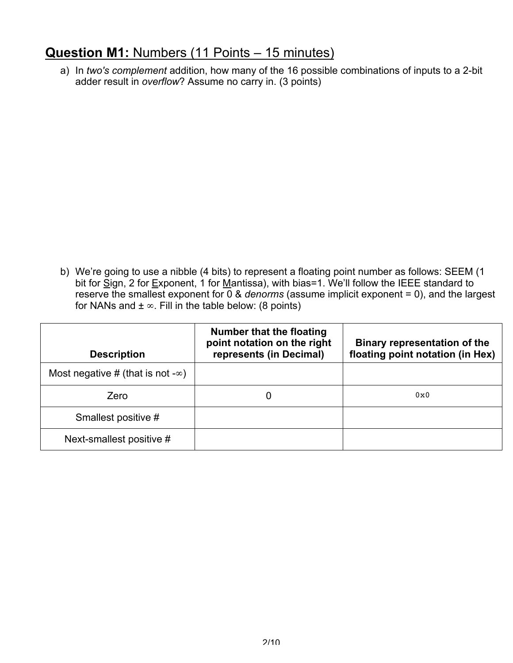### **Question M1:** Numbers (11 Points – 15 minutes)

a) In *two's complement* addition, how many of the 16 possible combinations of inputs to a 2-bit adder result in *overflow*? Assume no carry in. (3 points)

b) We're going to use a nibble (4 bits) to represent a floating point number as follows: SEEM (1 bit for  $\underline{\tilde{S}}$ ign, 2 for Exponent, 1 for Mantissa), with bias=1. We'll follow the IEEE standard to reserve the smallest exponent for 0 & *denorms* (assume implicit exponent = 0), and the largest for NANs and  $\pm \infty$ . Fill in the table below: (8 points)

| <b>Description</b>                        | <b>Number that the floating</b><br>point notation on the right<br>represents (in Decimal) | <b>Binary representation of the</b><br>floating point notation (in Hex) |
|-------------------------------------------|-------------------------------------------------------------------------------------------|-------------------------------------------------------------------------|
| Most negative # (that is not - $\infty$ ) |                                                                                           |                                                                         |
| Zero                                      |                                                                                           | 0x0                                                                     |
| Smallest positive #                       |                                                                                           |                                                                         |
| Next-smallest positive #                  |                                                                                           |                                                                         |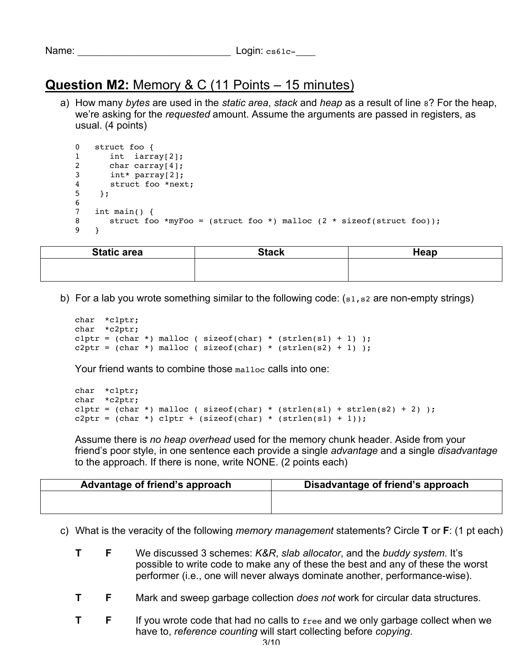|   |  | ame |  |
|---|--|-----|--|
| N |  |     |  |

# **Question M2:** Memory & C (11 Points – 15 minutes)

a) How many *bytes* are used in the *static area*, *stack* and *heap* as a result of line 8? For the heap, we're asking for the *requested* amount. Assume the arguments are passed in registers, as usual. (4 points)

```
0 struct foo {
1 int iarray[2];
2 char carray[4];
3 int* parray[2];
4 struct foo *next;<br>5 :
   5 };
6
7 int main() {
8 struct foo *myFoo = (struct foo *) malloc (2 * sizeof(struct foot));9 }
```

| <b>Static area</b> | <b>Stack</b> | Heap |
|--------------------|--------------|------|
|                    |              |      |
|                    |              |      |

b) For a lab you wrote something similar to the following code: (s1, s2 are non-empty strings)

```
char *c1ptr;
char *c2ptr;
c1ptr = (char *) malloc ( sizeof(char) * (strlen(s1) + 1) );
c2ptr = (char *) malloc ( sizeof(char) * (strlen(s2) + 1) );
```
Your friend wants to combine those malloc calls into one:

```
char *c1ptr;
char *c2ptr;
c1ptr = (char *) malloc ( sizeof(char) * (strlen(s1) + strlen(s2) + 2) );
c2ptr = (char *) c1ptr + (sizeof(char) * (strlen(s1) + 1));
```
Assume there is *no heap overhead* used for the memory chunk header. Aside from your friend's poor style, in one sentence each provide a single *advantage* and a single *disadvantage* to the approach. If there is none, write NONE. (2 points each)

| Advantage of friend's approach | Disadvantage of friend's approach |
|--------------------------------|-----------------------------------|
|                                |                                   |
|                                |                                   |

- c) What is the veracity of the following *memory management* statements? Circle **T** or **F**: (1 pt each)
	- **T F** We discussed 3 schemes: *K&R*, *slab allocator*, and the *buddy system*. It's possible to write code to make any of these the best and any of these the worst performer (i.e., one will never always dominate another, performance-wise).
	- **T F** Mark and sweep garbage collection *does not* work for circular data structures.
	- **T F** If you wrote code that had no calls to free and we only garbage collect when we have to, *reference counting* will start collecting before *copying*.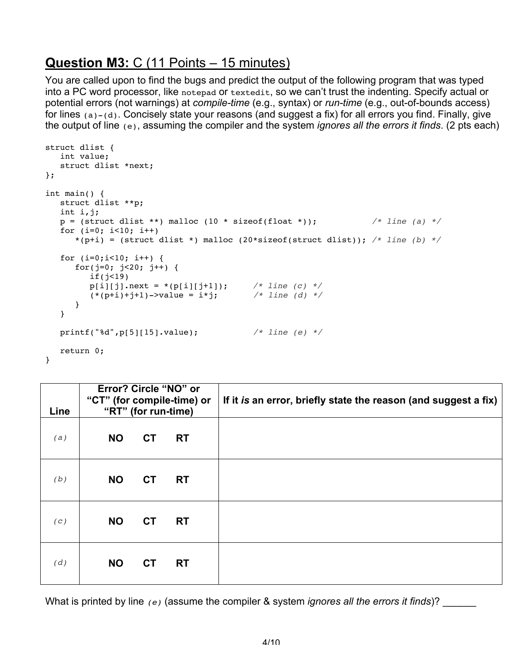## **Question M3:** C (11 Points – 15 minutes)

You are called upon to find the bugs and predict the output of the following program that was typed into a PC word processor, like notepad or textedit, so we can't trust the indenting. Specify actual or potential errors (not warnings) at *compile-time* (e.g., syntax) or *run-time* (e.g., out-of-bounds access) for lines (a)-(d). Concisely state your reasons (and suggest a fix) for all errors you find. Finally, give the output of line (e), assuming the compiler and the system *ignores all the errors it finds*. (2 pts each)

```
struct dlist {
   int value;
   struct dlist *next;
};
int main() {
   struct dlist **p;
   int i,j;
  p = (struct \; dlist **) \; malloc \; (10 * sizeof(float *)); /* line (a) */
   for (i=0; i<10; i++)
     *(p+i) = (struct dlist *) malloc (20*sizeof(struct dlist)); /* line (b) */
  for (i=0; i<10; i++) {
     for(j=0; j<20; j++) {
         if(j<19)
p[i][j].next = *(p[i][j+1]); /* line (c) */
(* (p+i)+j+1)->value = i*j; /* line (d) */
      }
   }
   printf("%d",p[5][15].value); /* line (e) */
   return 0;
}
```

| Line |           | "RT" (for run-time) | Error? Circle "NO" or<br>"CT" (for compile-time) or | If it is an error, briefly state the reason (and suggest a fix) |
|------|-----------|---------------------|-----------------------------------------------------|-----------------------------------------------------------------|
| (a)  | <b>NO</b> | <b>CT</b>           | <b>RT</b>                                           |                                                                 |
| (b)  | <b>NO</b> | <b>CT</b>           | <b>RT</b>                                           |                                                                 |
| (C)  | <b>NO</b> | <b>CT</b>           | <b>RT</b>                                           |                                                                 |
| (d)  | <b>NO</b> | <b>CT</b>           | <b>RT</b>                                           |                                                                 |

What is printed by line (e) (assume the compiler & system *ignores all the errors it finds*)?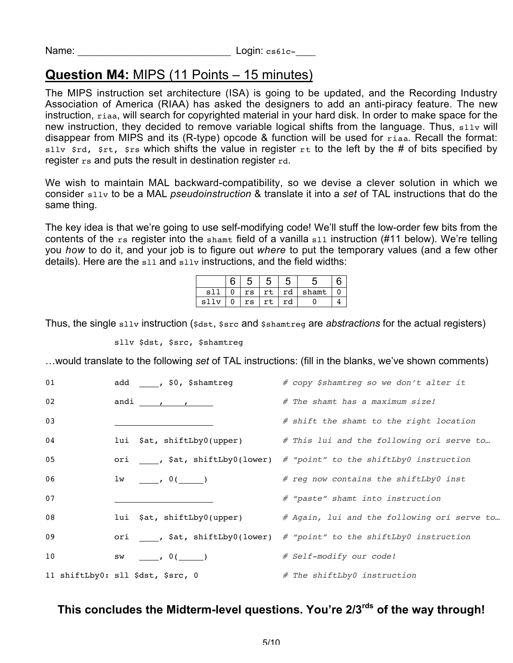### **Question M4:** MIPS (11 Points – 15 minutes)

The MIPS instruction set architecture (ISA) is going to be updated, and the Recording Industry Association of America (RIAA) has asked the designers to add an anti-piracy feature. The new instruction, riaa, will search for copyrighted material in your hard disk. In order to make space for the new instruction, they decided to remove variable logical shifts from the language. Thus, sllv will disappear from MIPS and its (R-type) opcode & function will be used for riaa. Recall the format: sllv  $srd$ ,  $srt$ ,  $srs$  which shifts the value in register  $rt$  to the left by the # of bits specified by register rs and puts the result in destination register rd.

We wish to maintain MAL backward-compatibility, so we devise a clever solution in which we consider sllv to be a MAL *pseudoinstruction* & translate it into a *set* of TAL instructions that do the same thing.

The key idea is that we're going to use self-modifying code! We'll stuff the low-order few bits from the contents of the rs register into the shamt field of a vanilla sll instruction (#11 below). We're telling you *how* to do it, and your job is to figure out *where* to put the temporary values (and a few other details). Here are the  $s11$  and  $s11v$  instructions, and the field widths:

|              | г  | O | n  |       |  |
|--------------|----|---|----|-------|--|
| S.           | rs |   | rd | shamt |  |
| $\mathbf{C}$ | rs |   | ra |       |  |

Thus, the single sllv instruction (\$dst, \$src and \$shamtreg are *abstractions* for the actual registers)

sllv \$dst, \$src, \$shamtreg

…would translate to the following *set* of TAL instructions: (fill in the blanks, we've shown comments)

| 01 | add ____, \$0, \$shamtreg         | # copy \$shamtreg so we don't alter it                                  |
|----|-----------------------------------|-------------------------------------------------------------------------|
| 02 | andi $\qquad \qquad$              | # The shamt has a maximum size!                                         |
| 03 |                                   | # shift the shamt to the right location                                 |
| 04 | lui \$at, shiftLby0(upper)        | # This lui and the following ori serve to                               |
| 05 |                                   | ori ____, \$at, shiftLby0(lower) # "point" to the shiftLby0 instruction |
| 06 | $1w \t\t (0)$                     | # reg now contains the shiftLby0 inst                                   |
| 07 |                                   | # "paste" shamt into instruction                                        |
| 08 | lui \$at, shiftLby0(upper)        | # Again, lui and the following ori serve to                             |
| 09 |                                   | ori ____, \$at, shiftLby0(lower) # "point" to the shiftLby0 instruction |
| 10 | $SW$ , $0($ )                     | # Self-modify our code!                                                 |
|    | 11 shiftLby0: sll \$dst, \$src, 0 | # The shiftLby0 instruction                                             |

#### **This concludes the Midterm-level questions. You're 2/3rds of the way through!**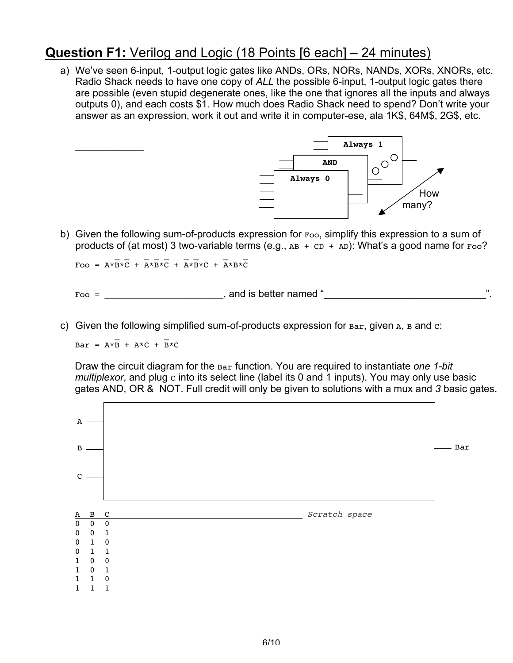### **Question F1:** Verilog and Logic (18 Points [6 each] – 24 minutes)

a) We've seen 6-input, 1-output logic gates like ANDs, ORs, NORs, NANDs, XORs, XNORs, etc. Radio Shack needs to have one copy of *ALL* the possible 6-input, 1-output logic gates there are possible (even stupid degenerate ones, like the one that ignores all the inputs and always outputs 0), and each costs \$1. How much does Radio Shack need to spend? Don't write your answer as an expression, work it out and write it in computer-ese, ala 1K\$, 64M\$, 2G\$, etc.



b) Given the following sum-of-products expression for Foo, simplify this expression to a sum of products of (at most) 3 two-variable terms (e.g.,  $AB + CD + AD$ ): What's a good name for  $Foo$ ?

 $\mathcal{L} = \mathcal{L} = \mathcal{L} = \mathcal{L} = \mathcal{L} = \mathcal{L} = \mathcal{L} = \mathcal{L} = \mathcal{L} = \mathcal{L} = \mathcal{L} = \mathcal{L} = \mathcal{L} = \mathcal{L} = \mathcal{L} = \mathcal{L} = \mathcal{L} = \mathcal{L} = \mathcal{L} = \mathcal{L} = \mathcal{L} = \mathcal{L} = \mathcal{L} = \mathcal{L} = \mathcal{L} = \mathcal{L} = \mathcal{L} = \mathcal{L} = \mathcal{L} = \mathcal{L} = \mathcal{L} = \mathcal$ Foo =  $A*B*C + A*B*C + A*B*C + A*B*C$ 

 $Foo =$  and is better named "

c) Given the following simplified sum-of-products expression for  $Bar$ , given A, B and  $c$ :

 $\mathcal{L} = \mathcal{L} \times \mathcal{L} = \mathcal{L} \times \mathcal{L} \times \mathcal{L}$  $Bar = A*B + A*C + B*C$ 

 $\mathcal{L}$  , we have the set of the set of the set of the set of the set of the set of the set of the set of the set of the set of the set of the set of the set of the set of the set of the set of the set of the set of the

Draw the circuit diagram for the Bar function. You are required to instantiate *one 1-bit multiplexor*, and plug c into its select line (label its 0 and 1 inputs). You may only use basic gates AND, OR & NOT. Full credit will only be given to solutions with a mux and *3* basic gates.

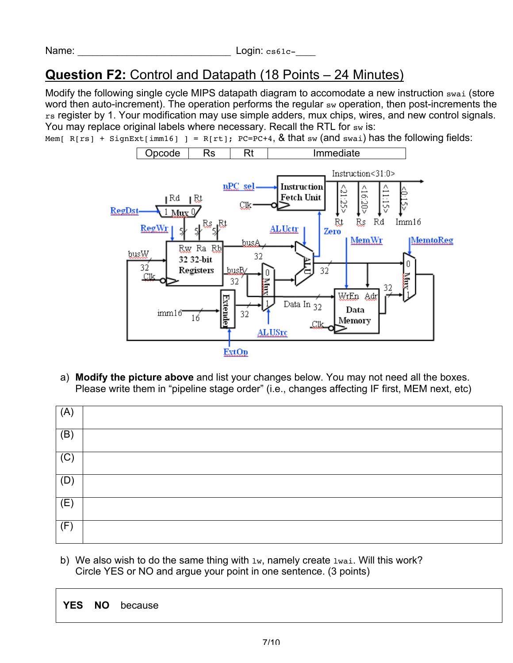# **Question F2:** Control and Datapath (18 Points – 24 Minutes)

Modify the following single cycle MIPS datapath diagram to accomodate a new instruction swai (store word then auto-increment). The operation performs the regular sw operation, then post-increments the rs register by 1. Your modification may use simple adders, mux chips, wires, and new control signals. You may replace original labels where necessary. Recall the RTL for sw is:

Mem[  $R[rs]$  + SignExt[imm16] ] =  $R[rt]$ ; PC=PC+4, & that sw (and swai) has the following fields:



a) **Modify the picture above** and list your changes below. You may not need all the boxes. Please write them in "pipeline stage order" (i.e., changes affecting IF first, MEM next, etc)

| (A)            |  |
|----------------|--|
| (B)            |  |
| $\overline{C}$ |  |
| (D)            |  |
| (E)            |  |
| (F)            |  |

b) We also wish to do the same thing with  $1w$ , namely create  $1wa$  i. Will this work? Circle YES or NO and argue your point in one sentence. (3 points)

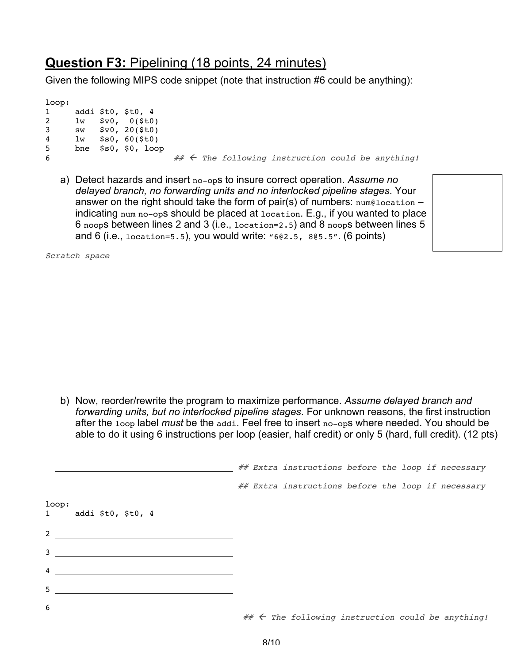### **Question F3:** Pipelining (18 points, 24 minutes)

Given the following MIPS code snippet (note that instruction #6 could be anything):

loop: addi \$t0, \$t0, 4 lw \$v0, 0(\$t0) sw \$v0, 20(\$t0) lw \$s0, 60(\$t0) bne \$s0, \$0, loop  $# \leftarrow$  The following instruction could be anything!

a) Detect hazards and insert no-ops to insure correct operation. *Assume no delayed branch, no forwarding units and no interlocked pipeline stages*. Your answer on the right should take the form of pair(s) of numbers:  $num@location$ indicating num no-ops should be placed at location. E.g., if you wanted to place 6 noops between lines 2 and 3 (i.e., location=2.5) and 8 noops between lines 5 and 6 (i.e., location=5.5), you would write: "6@2.5, 8@5.5". (6 points)

Scratch space

b) Now, reorder/rewrite the program to maximize performance. *Assume delayed branch and forwarding units, but no interlocked pipeline stages*. For unknown reasons, the first instruction after the loop label *must* be the addi. Feel free to insert no-ops where needed. You should be able to do it using 6 instructions per loop (easier, half credit) or only 5 (hard, full credit). (12 pts)

|                                  |  | ## Extra instructions before the loop if necessary     |  |  |  |
|----------------------------------|--|--------------------------------------------------------|--|--|--|
|                                  |  | ## Extra instructions before the loop if necessary     |  |  |  |
| loop:<br>addi \$t0, \$t0, 4<br>1 |  |                                                        |  |  |  |
|                                  |  |                                                        |  |  |  |
| $3 \overline{\phantom{a}}$       |  |                                                        |  |  |  |
| $\overline{4}$                   |  |                                                        |  |  |  |
| 5                                |  |                                                        |  |  |  |
| 6                                |  | $\#$ $\#$ The following instruction could be anything! |  |  |  |